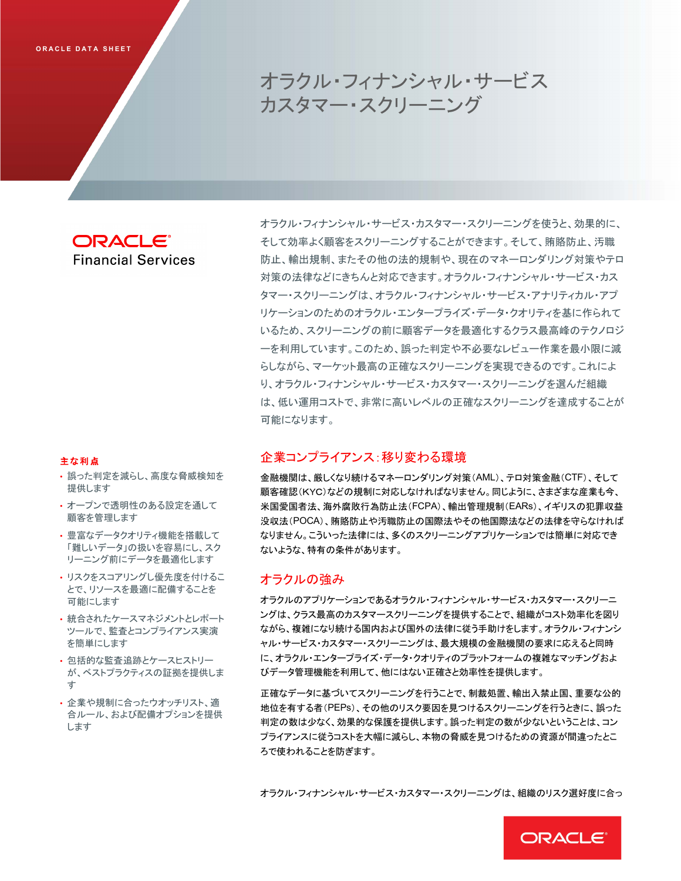# オラクル・フィナンシャル・サービス カスタマー・スクリーニング

**ORACLE**® **Financial Services** 

# 主な利点

- 誤った判定を減らし、高度な脅威検知を 提供します
- オープンで透明性のある設定を通して 顧客を管理します
- 豊富なデータクオリティ機能を搭載して 「難しいデータ」の扱いを容易にし、スク リーニング前にデータを最適化します
- リスクをスコアリングし優先度を付けるこ とで、リソースを最適に配備することを 可能にします
- 統合されたケースマネジメントとレポート ツールで、監査とコンプライアンス実演 を簡単にします
- 包括的な監査追跡とケースヒストリー が、ベストプラクティスの証拠を提供しま  $\pm$
- 企業や規制に合ったウオッチリスト、適 合ルール、および配備オプションを提供 します

オラクル・フィナンシャル・サービス・カスタマー・スクリーニングを使うと、効果的に、 そして効率よく顧客をスクリーニングすることができます。そして、賄賂防止、汚職 防止、輸出規制、またその他の法的規制や、現在のマネーロンダリング対策やテロ 対策の法律などにきちんと対応できます。オラクル・フィナンシャル・サービス・カス タマー・スクリーニングは、オラクル・フィナンシャル・サービス・アナリティカル・アプ りケーションのためのオラクル・エンタープライズ・データ・クオリティを基に作られて いるため、スクリーニングの前に顧客データを最適化するクラス最高峰のテクノロジ 一を利用しています。このため、誤った判定や不必要なレビュー作業を最小限に減 らしながら、マーケット最高の正確なスクリーニングを実現できるのです。これによ り、オラクル・フィナンシャル・サービス・カスタマー・スクリーニングを選んだ組織 は、低い運用コストで、非常に高いレベルの正確なスクリーニングを達成することが 可能になります。

# 企業コンプライアンス:移り変わる環境

金融機関は、厳しくなり続けるマネーロンダリング対策(AML)、テロ対策金融(CTF)、そして 顧客確認(KYC)などの規制に対応しなければなりません。同じように、さまざまな産業も今、 米国愛国者法、海外腐敗行為防止法(FCPA)、輸出管理規制(EARs)、イギリスの犯罪収益 没収法(POCA)、賄賂防止や汚職防止の国際法やその他国際法などの法律を守らなければ なりません。こういった法律には、多くのスクリーニングアプリケーションでは簡単に対応でき ないような、特有の条件があります。

# オラクルの強み

オラクルのアプリケーションであるオラクル・フィナンシャル・サービス・カスタマー・スクリーニ ングは、クラス最高のカスタマースクリーニングを提供することで、組織がコスト効率化を図り ながら、複雑になり続ける国内および国外の法律に従う手助けをします。オラクル・フィナンシ ャル・サービス・カスタマー・スクリーニングは、最大規模の金融機関の要求に応えると同時 に、オラクル・エンタープライズ・データ・クオリティのプラットフォームの複雑なマッチングおよ びデータ管理機能を利用して、他にはない正確さと効率性を提供します。

正確なデータに基づいてスクリーニングを行うことで、制裁処置、輸出入禁止国、重要な公的 地位を有する者(PEPs)、その他のリスク要因を見つけるスクリーニングを行うときに、誤った 判定の数は少なく、効果的な保護を提供します。誤った判定の数が少ないということは、コン プライアンスに従うコストを大幅に減らし、本物の脅威を見つけるための資源が間違ったとこ ろで使われることを防ぎます。

オラクル・フィナンシャル・サービス・カスタマー・スクリーニングは、組織のリスク選好度に合っ

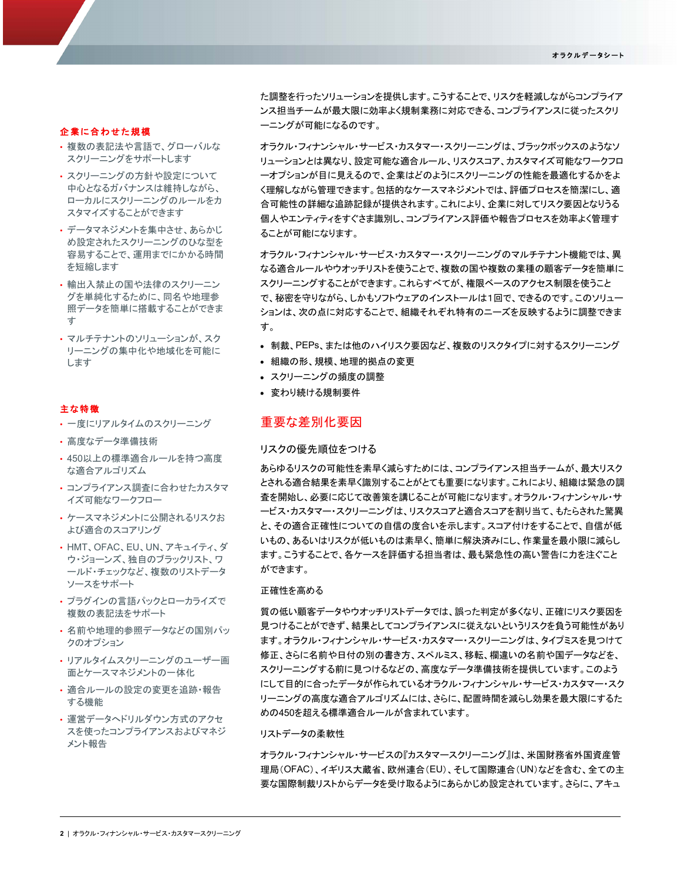## 企業に合わせた規模

- 複数の表記法や言語で、グローバルな スクリーニングをサポートします
- スクリーニングの方針や設定について 中心となるガバナンスは維持しながら、 ローカルにスクリーニングのルールをカ スタマイズすることができます
- データマネジメントを集中させ、あらかじ め設定されたスクリーニングのひな型を 容易することで、運用までにかかる時間 を短縮します
- •輸出入禁止の国や法律のスクリーニン グを単純化するために、同名や地理参 照データを簡単に搭載することができま  $\overline{d}$
- マルチテナントのソリューションが、スク リーニングの集中化や地域化を可能に します

## 主な特徴

- 一度にリアルタイムのスクリーニング
- 高度なデータ準備技術
- 450以上の標準適合ルールを持つ高度 な適合アルゴリズム
- コンプライアンス調査に合わせたカスタマ イズ可能なワークフロー
- ケースマネジメントに公開されるリスクお よび滴合のスコアリング
- HMT、OFAC、EU、UN、アキュイティ、ダ ウ・ジョーンズ、独自のブラックリスト、ワ 一ルド・チェックなど、複数のリストデータ ソースをサポート
- プラグインの言語パックとローカライズで 複数の表記法をサポート
- 名前や地理的参照データなどの国別パッ クのオプション
- リアルタイムスクリーニングのユーザー画 面とケースマネジメントの一体化
- 適合ルールの設定の変更を追跡・報告 する機能
- 運営データヘドリルダウン方式のアクセ スを使ったコンプライアンスおよびマネジ メント報告

た調整を行ったソリューションを提供します。こうすることで、リスクを軽減しながらコンプライア ンス担当チームが最大限に効率よく規制業務に対応できる、コンプライアンスに従ったスクリ 一ニングが可能になるのです。

オラクル・フィナンシャル・サービス・カスタマー・スクリーニングは、ブラックボックスのようなソ リューションとは異なり、設定可能な適合ルール、リスクスコア、カスタマイズ可能なワークフロ 一オプションが目に見えるので、企業はどのようにスクリーニングの性能を最適化するかをよ く理解しながら管理できます。包括的なケースマネジメントでは、評価プロセスを簡潔にし、適 合可能性の詳細な追跡記録が提供されます。これにより、企業に対してリスク要因となりうる 個人やエンティティをすぐさま識別し、コンプライアンス評価や報告プロセスを効率よく管理す ることが可能になります。

オラクル・フィナンシャル・サービス・カスタマー・スクリーニングのマルチテナント機能では、異 なる適合ルールやウオッチリストを使うことで、複数の国や複数の業種の顧客データを簡単に スクリーニングすることができます。これらすべてが、権限ベースのアクセス制限を使うこと で、秘密を守りながら、しかもソフトウェアのインストールは1回で、できるのです。このソリュー ションは、次の点に対応することで、組織それぞれ特有のニーズを反映するように調整できま す。

- 制裁、PEPs、または他のハイリスク要因など、複数のリスクタイプに対するスクリーニング
- 組織の形、規模、地理的拠点の変更
- スクリーニングの頻度の調整
- 変わり続ける規制要件

# 重要な差別化要因

## リスクの優先順位をつける

あらゆるリスクの可能性を素早く減らすためには、コンプライアンス担当チームが、最大リスク とされる適合結果を素早く識別することがとても重要になります。これにより、組織は緊急の調 査を開始し、必要に応じて改善策を講じることが可能になります。オラクル・フィナンシャル・サ 一ビス・カスタマー・スクリーニングは、リスクスコアと滴合スコアを割り当て、もたらされた驚異 と、その適合正確性についての自信の度合いを示します。スコア付けをすることで、自信が低 いもの、あるいはハクが低いものは素早く、簡単に解決済みにし、作業量を最小限に減らし ます。こうすることで、各ケースを評価する担当者は、最も緊急性の高い警告に力を注ぐこと ができます。

#### 正確性を高める

貿の低い顧客データやウオッチリストデータでは、誤った判定が多くなり、正確にリスク要因を 見つけることができず、結果としてコンプライアンスに従えないというリスクを負う可能性があり ます。オラクル・フィナンシャル・サービス・カスタマー・スクリーニングは、タイプミスを見つけて 修正、さらに名前や日付の別の書き方、スペルミス、移転、欄違いの名前や国データなどを、 スクリーニングする前に見つけるなどの、高度なデータ準備技術を提供しています。このよう にして目的に合ったデータが作られているオラクル・フィナンシャル・サービス・カスタマー・スク り一ニングの高度な適合アルゴリズムには、さらに、配置時間を減らし効果を最大限にするた めの450を超える標準適合ルールが含まれています。

# リストデータの柔軟性

オラクル・フィナンシャル・サービスの『カスタマースクリーニング』は、米国財務省外国資産管 理局(OFAC)、イギリス大蔵省、欧州連合(EU)、そして国際連合(UN)などを含む、全ての主 要な国際制裁リストからデータを受け取るようにあらかじめ設定されています。さらに、アキュ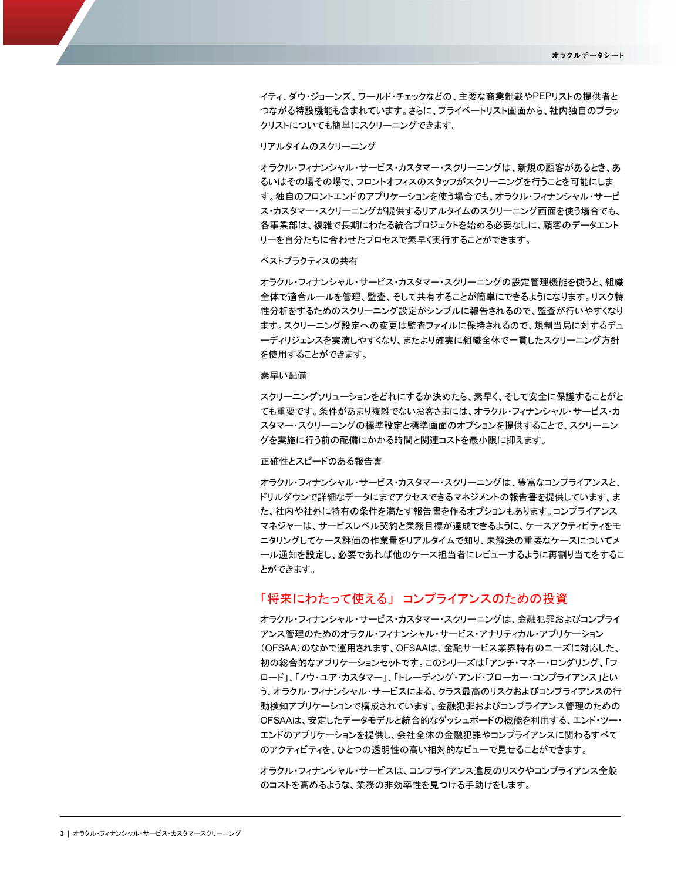イティ、ダウ・ジョーンズ、ワールド・チェックなどの、主要な商業制裁やPEPリストの提供者と つながる特設機能も含まれています。さらに、プライベートリスト画面から、社内独自のブラッ クリストについても簡単にスクリーニングできます。

## 䝸䜰䝹䝍䜲䝮䛾䝇䜽䝸䞊䝙ン䜾

オラクル・フィナンシャル・サービス・カスタマー・スクリーニングは、新規の顧客があるとき、あ るいはその場その場で、フロントオフィスのスタッフがスクリーニングを行うことを可能にしま す。独自のフロントエンドのアプリケーションを使う場合でも、オラクル・フィナンシャル・サービ ス・カスタマー・スクリーニングが提供するリアルタイムのスクリーニング画面を使う場合でも、 各事業部は、複雑で長期にわたる統合プロジェクトを始める必要なしに、顧客のデータエント リーを自分たちに合わせたプロセスで素早く実行することができます。

#### ベストプラクティスの共有

オラクル・フィナンシャル・サービス・カスタマー・スクリーニングの設定管理機能を使うと、組織 全体で適合ルールを管理、監査、そして共有することが簡単にできるようになります。リスク特 性分析をするためのスクリーニング設定がシンプルに報告されるので、監査が行いやすくなり ます。スクリーニング設定への変更は監査ファイルに保持されるので、規制当局に対するデュ 一ディリジェンスを実演しやすくなり、またより確実に組織全体で一貫したスクリーニング方針 を使用することができます。

#### 素早い配備

スクリーニングソリューションをどれにするか決めたら、素早く、そして安全に保護することがと ても重要です。条件があまり複雑でないお客さまには、オラクル・フィナンシャル・サービス・カ スタマー・スクリーニングの標準設定と標準画面のオプションを提供することで、スクリーニン グを実施に行う前の配備にかかる時間と関連コストを最小限に抑えます。

## 正確性とスピードのある報告書

オラクル・フィナンシャル・サービス・カスタマー・スクリーニングは、豊富なコンプライアンスと、 ドリルダウンで詳細なデータにまでアクセスできるマネジメントの報告書を提供しています。ま た、社内や社外に特有の条件を満たす報告書を作るオプションもあります。コンプライアンス マネジャーは、サービスレベル契約と業務目標が達成できるように、ケースアクティビティをモ ニタリングしてケース評価の作業量をリアルタイムで知り、未解決の重要なケースについてメ 一ル通知を設定し、必要であれば他のケース担当者にレビューするように再割り当てをするこ とができます。

# 「将来にわたって使える」 コンプライアンスのための投資

オラクル・フィナンシャル・サービス・カスタマー・スクリーニングは、金融犯罪およびコンプライ アンス管理のためのオラクル・フィナンシャル・サービス・アナリティカル・アプリケーション (OFSAA)のなかで運用されます。OFSAAは、金融サービス業界特有のニーズに対応した、 初の総合的なアプリケーションセットです。このシリーズは「アンチ・マネー・ロンダリング、「フ ロード」、「ノウ・コア・カスタマー」、「トレーディング・アンド・ブローカー・コンプライアンス」とい う、オラクル・フィナンシャル・サービスによる、クラス最高のリスクおよびコンプライアンスの行 動検知アプリケーションで構成されています。金融犯罪およびコンプライアンス管理のための OFSAAは、安定したデータモデルと統合的なダッシュボードの機能を利用する、エンド・ツー・ エンドのアプリケーションを提供し、会社全体の金融犯罪やコンプライアンスに関わるすべて のアクティビティを、ひとつの透明性の高い相対的なビューで見せることができます。

オラクル・フィナンシャル・サービスは、コンプライアンス違反のリスクやコンプライアンス全般 のコストを高めるような、業務の非効率性を見つける手助けをします。